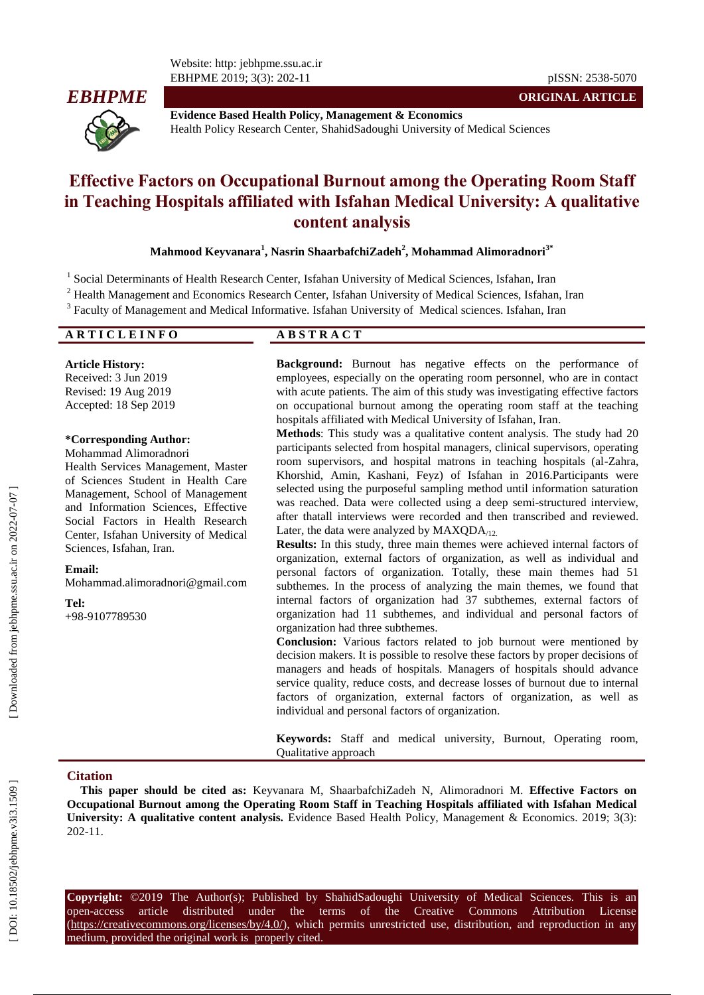Website: http: jebhpme.ssu.ac.ir EBHPME 2019; 3(3): 202



**Evidence Based Health Policy, Management & Economics** Health Policy Research Center, ShahidSadoughi University of Medical Sciences

# **Effective Factors o n Occupational Burnout among the Operating Room Staff in Teaching Hospitals affiliated with Isfahan Medical University : A qualitative content analysis**

# **Mahmood Keyvanara 1 , Nasrin ShaarbafchiZadeh 2 , Mohammad Alimoradnori 3 \***

<sup>1</sup> Social Determinants of Health Research Center, Isfahan University of Medical Sciences, Isfahan, Iran

- <sup>2</sup> Health Management and Economics Research Center, Isfahan University of Medical Sciences, Isfahan, Iran
- <sup>3</sup> Faculty of Management and Medical Informative. Isfahan University of Medical sciences. Isfahan, Iran

# **A R T I C L E I N F O A B S T R A C T**

**Article History:** Received: 3 Jun 201 9 Revised: 19 Aug 201 9 Accepted: 18 Sep 201 9

## **\*Corresponding Author:**

Mohammad Alimoradnori Health Services Management, Master of Sciences Student in Health Care Management, School of Management and Information Sciences, Effective Social Factors in Health Research Center, Isfahan University of Medical Sciences, Isfahan, Iran.

#### **Email:**

[Mohammad.alimoradnori@gmail.com](mailto:Mohammad.alimoradnori@gmail.com)

**Tel:**

+98 -9107789530

**Background:** Burnout has negative effects on the performance of employees, especially on the operating room personnel, who are in contact with acute patients. The aim of this study was investigating effective factors on occupational burnout among the operating room staff at the teaching hospitals affiliated with Medical University of Isfahan, Iran .

**Methods**: This study was a qualitative content analysis. The study had 20 participants selected from hospital managers, clinical supervisors, operating room supervisors, and hospital matrons in teaching hospitals (al -Zahra, Khorshid, Amin, Kashani, Feyz) of Isfahan in 2016.Participants were selected using the purposeful sampling method until information saturation was reached. Data were collected using a deep semi -structured interview, after thatall interviews were recorded and then transcribed and reviewed. Later, the data were analyzed by  $MAXQDA<sub>12</sub>$ .

**Results:** In this study, three main themes were achieved internal factors of organization, external factors of organization, as well as individual and personal factors of organization. Totally, these main themes had 51 subthemes. In the process of analyzing the main themes, we found that internal factors of organization had 37 subthemes, external factors of organization had 11 subthemes, and individual and personal factors of organization had three subthemes.

**Conclusion:** Various factors related to job burnout were mentioned by decision makers. It is possible to resolve these factors by proper decisions of managers and heads of hospitals. Managers of hospitals should advance service quality, reduce costs, and decrease losses of burnout due to internal factors of organization, external factors of organization, as well as individual and personal factors of organization.

**Keywords:** Staff and medical university, Burnout, Operating room, Qualitative approach

## **Citation**

**This paper should be cited as:** Keyvanara M, ShaarbafchiZadeh N, Alimoradnori M. **Effective Factors on Occupational Burnout among the Operating Room Staff in Teaching Hospitals affiliated with Isfahan Medical**  University: A qualitative content analysis. Evidence Based Health Policy, Management & Economics. 2019; 3(3): 202 -11 .

**Copyright:** ©201 9 The Author(s); Published by ShahidSadoughi University of Medical Sciences. This is an open-access article distributed under the terms of the Creative Commons Attribution License (https://creativecommons.org/licenses/by/4.0/), which permits unrestricted use, distribution, and reproduction in any medium, provided the original work is properly cited.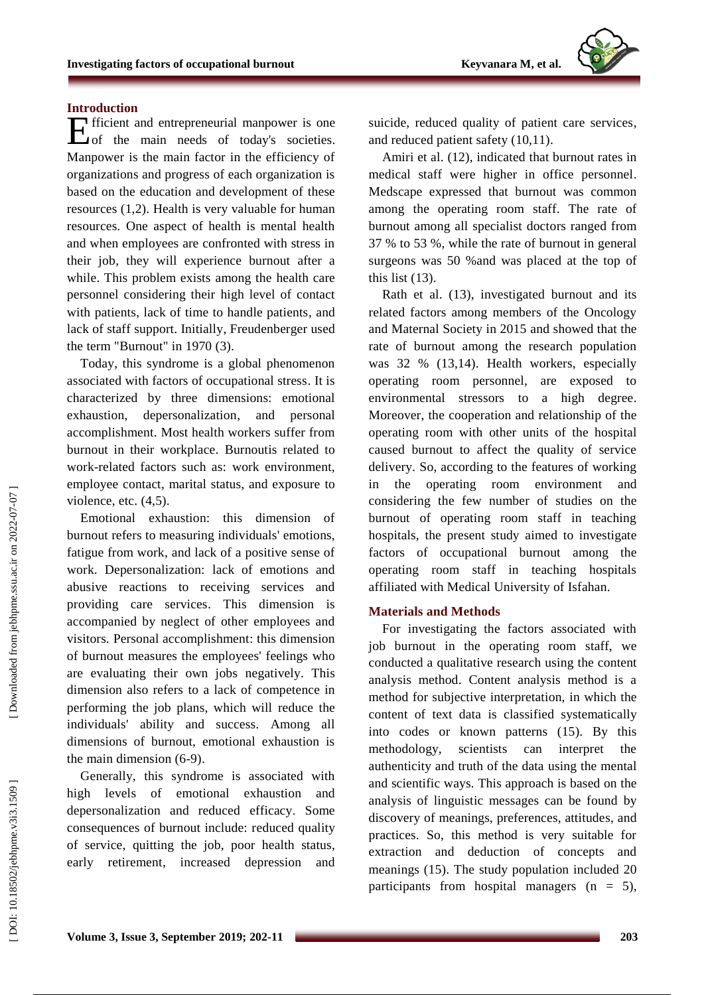# **Introduction**

fficient and entrepreneurial manpower is one Efficient and entrepreneurial manpower is one<br>
of the main needs of today's societies. Manpower is the main factor in the efficiency of organizations and progress of each organization is based on the education and development of these resources (1,2). Health is very valuable for human resources. One aspect of health is mental health and when employees are confronted with stress in their job, they will experience burnout after a while. This problem exists among the health care personnel considering their high level of contact with patients, lack of time to handle patients , and lack of staff support. Initially, Freudenberger use d the term "Burnout" in 1970 (3).

Today, this syndrome is a global phenomenon associated with factors of occupational stress. It is characterized by three dimensions: emotional exhaustion, depersonalization , and personal accomplishment. Most health workers suffer from burnout in their workplace. Burnoutis related to work -related factors such as: work environment, employee contact, marital status, and exposure to violence, etc.  $(4,5)$ .

Emotional exhaustion: this dimension of burnout refers to measuring individuals' emotions, fatigue from work , and lack of a positive sense of work. Depersonalization: lack of emotions and abusive reactions to receiving services and providing care services. This dimension is accompanied by neglect of other employees and visitors. Personal accomplishment: this dimension of burnout measures the employees' feelings who are evaluating their own jobs negatively. This dimension also refers to a lack of competence in performing the job plans, which will reduce the individuals' ability and success. Among all dimensions of burnout, emotional exhaustion is the main dimension (6 -9) .

Generally, this syndrome is associated with high levels of emotional exhaustion and depersonalization and reduced efficacy . Some consequences of burnout include: reduced quality of service, quitting the job, poor health status, early retirement , increased depression and suicide, reduce d quality of patient care services , and reduce d patient safety (10,11).

Amiri et al . (12), indicated that burnout rates in medical staff were higher in office personnel . Medscape expressed that burnout was common among the operating room staff. The rate of burnout among all specialist doctors ranged from 37 % to 53 %, while the rate of burnout in general surgeons was 50 %and was placed at the top of this list (13).

Rath et al. (13 ) , investigated burnout and its related factors among members of the Oncology and Maternal Society in 2015 and showed that the rate of burnout among the research population was 32 % (13,14). Health workers, especially operating room personnel, are exposed to environmental stressors to a high degree . Moreover, the cooperation and relationship of the operating room with other units of the hospital caused burnout to affect the quality of service delivery. So, according to the features of working in the operating room environment and considering the few number of studies on the burnout of operating room staff in teaching hospitals, the present study aimed to investigate factors of occupational burnout among the operating room staff in teaching hospitals affiliated with Medical University of Isfahan .

# **Materials and Methods**

For investigating the factors associated with job burnout in the operating room staff, we conducted a qualitative research using the content analysis method. Content analysis method is a method for subjective interpretation, in which the content of text data is classified systematically into codes or known patterns (15). By this methodology, scientists can interpret the authenticity and truth of the data using the mental and scientific ways. This approach is based on the analysis of linguistic messages can be found by discovery of meanings, preferences, attitude s , and practices. So, this method is very suitable for extraction and deduction of concepts and meanings (15). The study population included 20 participants from hospital managers  $(n = 5)$ ,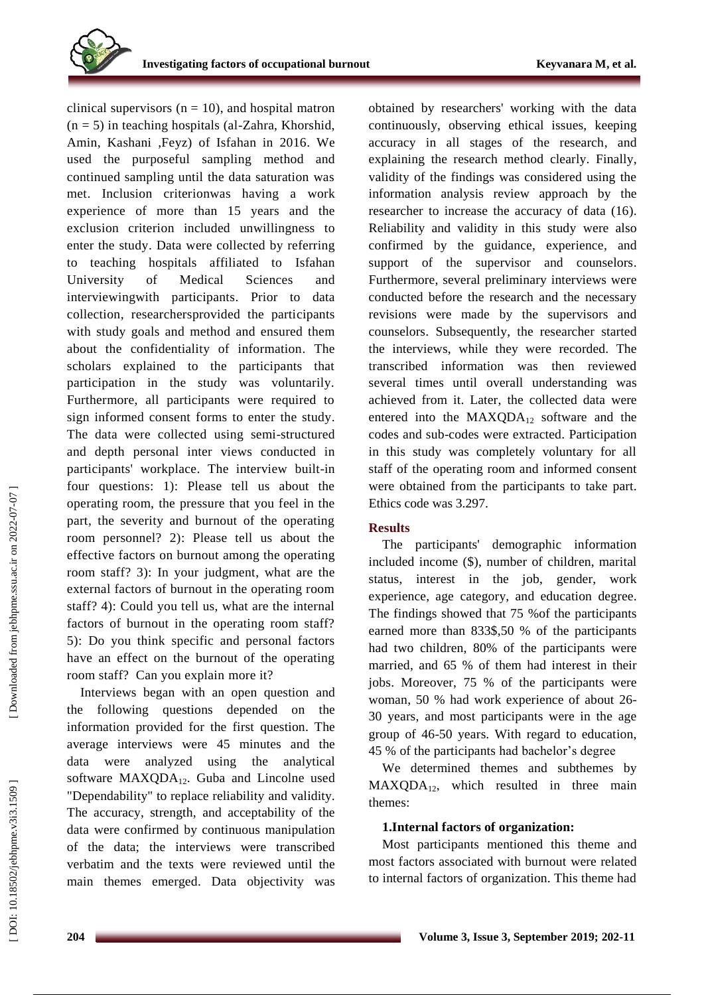clinical supervisors ( $n = 10$ ), and hospital matron  $(n = 5)$  in teaching hospitals (al-Zahra, Khorshid, Amin, Kashani ,Feyz) of Isfahan in 2016 . We used the purposeful sampling method and continued sampling until the data saturation was met. Inclusion criterionwas having a work experience of more than 15 years and the exclusion criterion included unwillingness to enter the study. Data were collected by referring to teaching hospitals affiliated to Isfahan University of Medical Sciences and interviewingwith participants. Prior to data collection, researcher sprovided the participants with study goals and method and ensured them about the confidentiality of information. The scholars explained to the participants that participation in the study was voluntarily. Furthermore, all participants were required to sign informed consent forms to enter the study. The data were collected using semi -structured and depth personal inter view s conducted in participants' workplace. The interview built -in four questions: 1): Please tell us about the operating room, the pressure that you feel in the part, the severity and burnout of the operating room personnel? 2): Please tell us about the effective factors on burnout among the operating room staff? 3): In your judgment, what are the external factors of burnout in the operating room staff? 4): Could you tell us, what are the internal factors of burnout in the operating room staff? 5): Do you think specific and personal factors have an effect on the burnout of the operating room staff? Can you explain more it?

Interviews began with an open question and the following questions depended on the information provided for the first question. The average interviews were 45 minutes and the data were analyzed using the analytical software MAXQDA<sub>12</sub>. Guba and Lincolne used "Dependability" to replace reliability and validity. The accuracy, strength , and acceptability of the data were confirmed by continuous manipulation of the data; the interviews were transcribed verbatim and the texts were reviewed until the main themes emerged. Data objectivity was

obtained by researchers' working with the data continuously, observing ethical issues, keeping accuracy in all stages of the research , and explaining the research method clearly. Finally, validity of the findings was considered using the information analysis review approach by the researcher to increase the accuracy of data (16). Reliability and validity in this study were also confirmed by the guidance, experience , and support of the supervisor and counselors. Furthermore, several preliminary interviews were conducted before the research and the necessary revisions were made by the supervisors and counselors. Subsequently, the researcher started the interview s , while they were recorded. The transcribed information was then reviewed several times until overall understanding was achieved from it. Later, the collected data were entered into the  $MAXQDA_{12}$  software and the codes and sub -codes were extracted . Participation in this study was completely voluntary for all staff of the operating room and informed consent were obtained from th e participants to take part . Ethics code was 3.297.

# **Results**

The participants' demographic information included income ( \$), number of children, marital status, interest in the job, gender, work experience, age category , and education degree. The findings showed that 75 %of the participants earned more than 833\$ ,50 % of the participants had two children , 80 % of the participants were married , and 65 % of them had interest in their job s . Moreover, 75 % of the participants were woman, 50 % had work experience of about 26 - 30 years , and most participants were in the age group of 46 -50 years. With regard to education, 45 % of the participants had bachelor's degree

We determine d themes and subthemes by MAXQDA 1 <sup>2</sup>, which resulted in three main themes:

# **1.Internal factors of organization:**

Most participants mentioned this theme and most factors associated with burnout were related to internal factors of organization. This theme had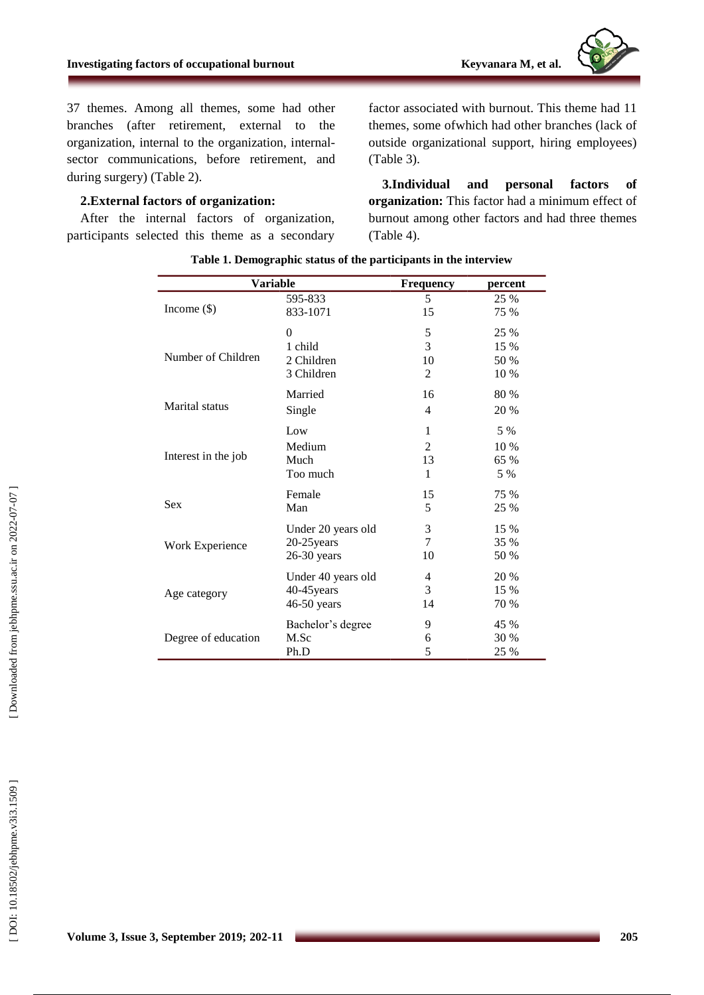

37 themes. Among all themes, some had other branches (after retirement, external to the organization, internal to the organization, internal sector communications, before retirement, and during surgery) (Table 2).

# **2.External factors of organization:**

After the internal factors of organization, participants selected this theme as a secondary

factor associated with burnout . This theme had 11 themes, some ofwhich had other branches (lack of outside organizational support, hiring employees) (Table 3).

**3 .Individual and personal factors of organization:** This factor had a minimum effect of burnout among other factors and had three themes (Table 4).

| <b>Variable</b>       |                    | <b>Frequency</b> | percent |
|-----------------------|--------------------|------------------|---------|
| Income $(\$)$         | 595-833            | 5                | 25 %    |
|                       | 833-1071           | 15               | 75 %    |
| Number of Children    | $\Omega$           | 5                | 25 %    |
|                       | 1 child            | 3                | 15 %    |
|                       | 2 Children         | 10               | 50 %    |
|                       | 3 Children         | 2                | 10 %    |
| <b>Marital</b> status | Married            | 16               | 80 %    |
|                       | Single             | 4                | 20 %    |
| Interest in the job   | Low                | 1                | 5 %     |
|                       | Medium             | 2                | 10 %    |
|                       | Much               | 13               | 65 %    |
|                       | Too much           | 1                | 5 %     |
| <b>Sex</b>            | Female             | 15               | 75 %    |
|                       | Man                | 5                | 25 %    |
| Work Experience       | Under 20 years old | 3                | 15 %    |
|                       | 20-25 years        | $\tau$           | 35 %    |
|                       | $26-30$ years      | 10               | 50 %    |
| Age category          | Under 40 years old | 4                | 20 %    |
|                       | 40-45 years        | 3                | 15 %    |
|                       | 46-50 years        | 14               | 70 %    |
| Degree of education   | Bachelor's degree  | 9                | 45 %    |
|                       | M.Sc               | 6                | 30 %    |
|                       | Ph.D               | 5                | 25 %    |

| Table 1. Demographic status of the participants in the interview |  |  |
|------------------------------------------------------------------|--|--|
|                                                                  |  |  |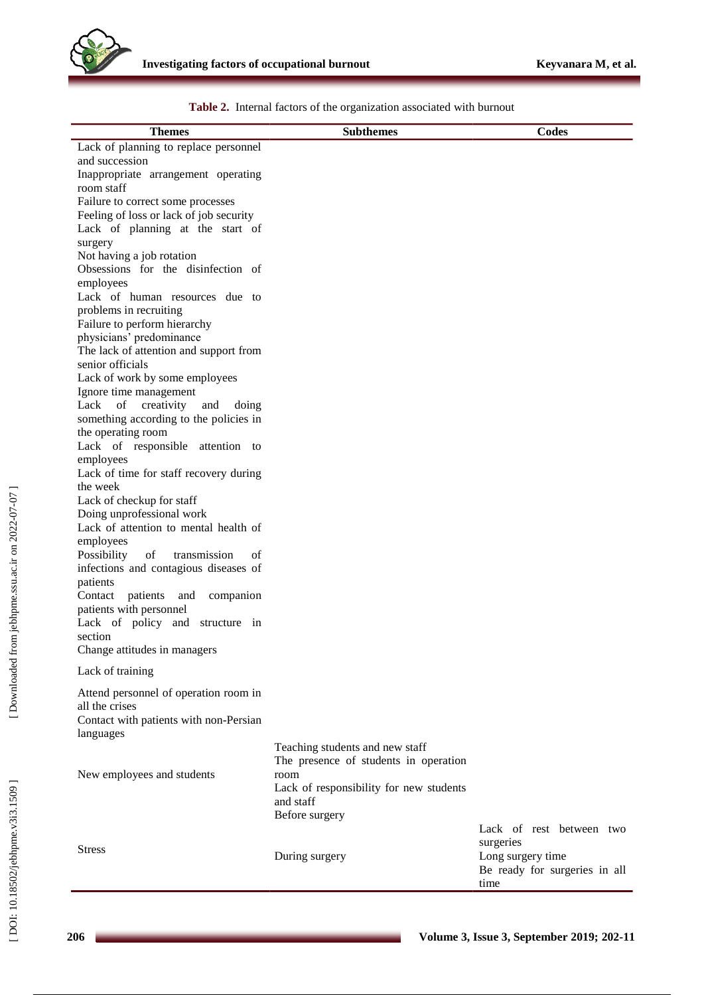| <b>Themes</b>                                      | <b>Subthemes</b>                        | <b>Codes</b>                  |
|----------------------------------------------------|-----------------------------------------|-------------------------------|
| Lack of planning to replace personnel              |                                         |                               |
| and succession                                     |                                         |                               |
| Inappropriate arrangement operating                |                                         |                               |
| room staff                                         |                                         |                               |
| Failure to correct some processes                  |                                         |                               |
| Feeling of loss or lack of job security            |                                         |                               |
| Lack of planning at the start of                   |                                         |                               |
| surgery                                            |                                         |                               |
| Not having a job rotation                          |                                         |                               |
| Obsessions for the disinfection of                 |                                         |                               |
| employees                                          |                                         |                               |
| Lack of human resources due to                     |                                         |                               |
| problems in recruiting                             |                                         |                               |
| Failure to perform hierarchy                       |                                         |                               |
| physicians' predominance                           |                                         |                               |
| The lack of attention and support from             |                                         |                               |
| senior officials                                   |                                         |                               |
| Lack of work by some employees                     |                                         |                               |
| Ignore time management                             |                                         |                               |
| Lack of<br>creativity<br>and<br>doing              |                                         |                               |
| something according to the policies in             |                                         |                               |
| the operating room                                 |                                         |                               |
| Lack of responsible attention to                   |                                         |                               |
| employees                                          |                                         |                               |
| Lack of time for staff recovery during<br>the week |                                         |                               |
| Lack of checkup for staff                          |                                         |                               |
| Doing unprofessional work                          |                                         |                               |
| Lack of attention to mental health of              |                                         |                               |
| employees                                          |                                         |                               |
| Possibility<br>of<br>transmission<br>of            |                                         |                               |
| infections and contagious diseases of              |                                         |                               |
| patients                                           |                                         |                               |
| Contact patients<br>and<br>companion               |                                         |                               |
| patients with personnel                            |                                         |                               |
| Lack of policy and structure in                    |                                         |                               |
| section                                            |                                         |                               |
| Change attitudes in managers                       |                                         |                               |
|                                                    |                                         |                               |
| Lack of training                                   |                                         |                               |
| Attend personnel of operation room in              |                                         |                               |
| all the crises                                     |                                         |                               |
| Contact with patients with non-Persian             |                                         |                               |
| languages                                          |                                         |                               |
|                                                    | Teaching students and new staff         |                               |
|                                                    | The presence of students in operation   |                               |
| New employees and students                         | room                                    |                               |
|                                                    | Lack of responsibility for new students |                               |
|                                                    | and staff                               |                               |
|                                                    | Before surgery                          |                               |
|                                                    |                                         | Lack of rest between two      |
| <b>Stress</b>                                      |                                         | surgeries                     |
|                                                    | During surgery                          | Long surgery time             |
|                                                    |                                         | Be ready for surgeries in all |
|                                                    |                                         | time                          |

**Table 2 .** Internal factors of the organization associated with burnout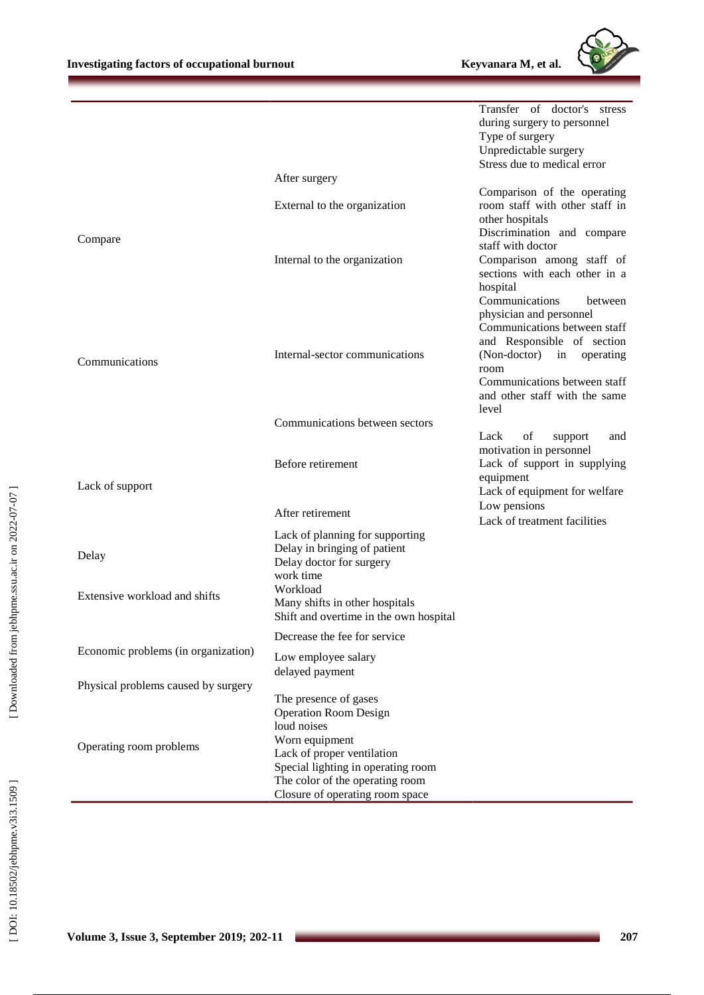Transfer of doctor's stress



|                                     |                                        | during surgery to personnel                                |
|-------------------------------------|----------------------------------------|------------------------------------------------------------|
|                                     |                                        | Type of surgery                                            |
|                                     |                                        | Unpredictable surgery                                      |
|                                     |                                        | Stress due to medical error                                |
|                                     | After surgery                          |                                                            |
|                                     |                                        | Comparison of the operating                                |
|                                     | External to the organization           | room staff with other staff in                             |
|                                     |                                        | other hospitals                                            |
| Compare                             |                                        | Discrimination and compare                                 |
|                                     |                                        | staff with doctor                                          |
|                                     | Internal to the organization           | Comparison among staff of<br>sections with each other in a |
|                                     |                                        | hospital                                                   |
|                                     |                                        | Communications<br>between                                  |
|                                     |                                        | physician and personnel                                    |
|                                     |                                        | Communications between staff                               |
|                                     |                                        | and Responsible of section                                 |
|                                     | Internal-sector communications         | (Non-doctor)<br>in operating                               |
| Communications                      |                                        | room                                                       |
|                                     |                                        | Communications between staff                               |
|                                     |                                        | and other staff with the same                              |
|                                     |                                        | level                                                      |
|                                     | Communications between sectors         |                                                            |
|                                     |                                        | Lack<br>of<br>support<br>and                               |
|                                     |                                        | motivation in personnel                                    |
|                                     | Before retirement                      | Lack of support in supplying                               |
| Lack of support                     |                                        | equipment                                                  |
|                                     |                                        | Lack of equipment for welfare                              |
|                                     | After retirement                       | Low pensions                                               |
|                                     |                                        | Lack of treatment facilities                               |
|                                     | Lack of planning for supporting        |                                                            |
| Delay                               | Delay in bringing of patient           |                                                            |
|                                     | Delay doctor for surgery<br>work time  |                                                            |
|                                     | Workload                               |                                                            |
| Extensive workload and shifts       | Many shifts in other hospitals         |                                                            |
|                                     | Shift and overtime in the own hospital |                                                            |
|                                     |                                        |                                                            |
|                                     | Decrease the fee for service           |                                                            |
| Economic problems (in organization) | Low employee salary                    |                                                            |
|                                     | delayed payment                        |                                                            |
| Physical problems caused by surgery |                                        |                                                            |
|                                     | The presence of gases                  |                                                            |
|                                     | <b>Operation Room Design</b>           |                                                            |
|                                     | loud noises                            |                                                            |
| Operating room problems             | Worn equipment                         |                                                            |
|                                     | Lack of proper ventilation             |                                                            |
|                                     | Special lighting in operating room     |                                                            |
|                                     | The color of the operating room        |                                                            |
|                                     | Closure of operating room space        |                                                            |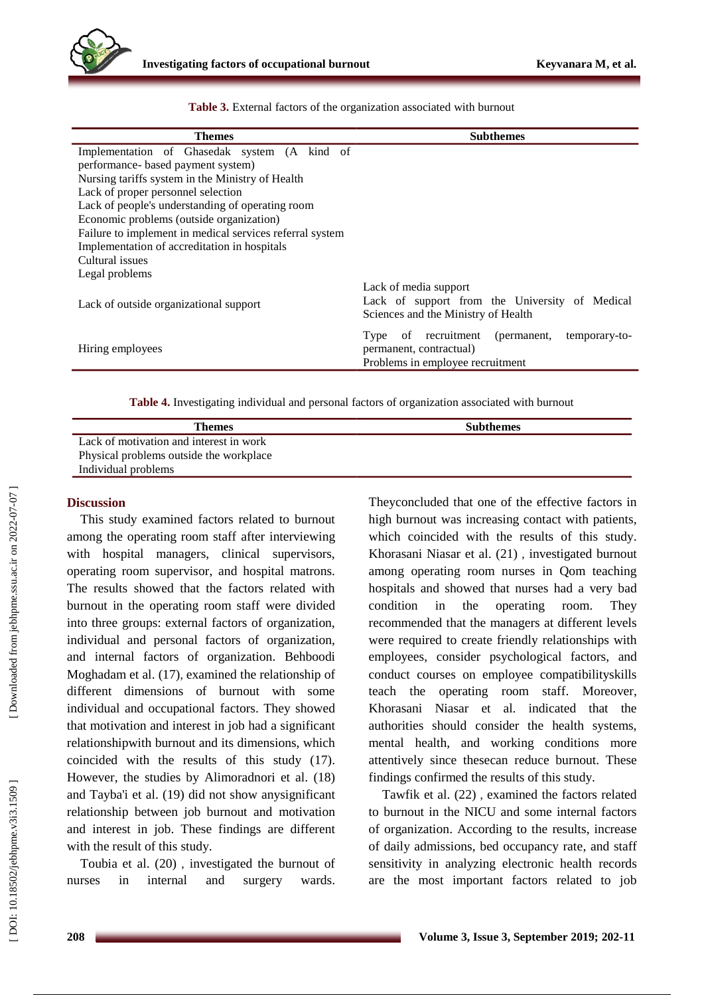

| <b>Themes</b>                                            | <b>Subthemes</b>                                                                                                      |
|----------------------------------------------------------|-----------------------------------------------------------------------------------------------------------------------|
| Implementation of Ghasedak system (A kind of             |                                                                                                                       |
| performance- based payment system)                       |                                                                                                                       |
| Nursing tariffs system in the Ministry of Health         |                                                                                                                       |
| Lack of proper personnel selection                       |                                                                                                                       |
| Lack of people's understanding of operating room         |                                                                                                                       |
| Economic problems (outside organization)                 |                                                                                                                       |
| Failure to implement in medical services referral system |                                                                                                                       |
| Implementation of accreditation in hospitals             |                                                                                                                       |
| Cultural issues                                          |                                                                                                                       |
| Legal problems                                           |                                                                                                                       |
| Lack of outside organizational support                   | Lack of media support<br>Lack of support from the University of Medical<br>Sciences and the Ministry of Health        |
| Hiring employees                                         | of recruitment<br>(permanent,<br>temporary-to-<br>Type<br>permanent, contractual)<br>Problems in employee recruitment |

**Table 3.** External factors of the organization associated with burnout

**Table 4.** Investigating individual and personal factors of organization associated with burnout

| Themes                                  | <b>Subthemes</b> |
|-----------------------------------------|------------------|
| Lack of motivation and interest in work |                  |
| Physical problems outside the workplace |                  |
| Individual problems                     |                  |

## **Discussion**

This study examine d factors related to burnout among the operating room staff after interviewing with hospital managers, clinical supervisors, operating room supervisor , and hospital matrons. The results showed that the factors related with burnout in the operating room staff were divided into three groups: external factors of organization, individual and personal factors of organization, and internal factors of organization. Behboodi Moghadam et al . (17 ) , examine d the relationship of different dimensions of burnout with some individual and occupational factors. They showed that motivation and interest in job had a significant relationshipwith burnout and its dimensions, which coincided with the results of this study (17). However, the studies by Alimoradnori et al . (18) and Tayba'i et al . (19 ) did not show anysignificant relationship between job burnout and motivation and interest in job. These findings are different with the result of this study.

Toubia et al . (20 ) , investigated the burnout of nurses in internal and surgery wards.

Theyconcluded that one of the effective factors in high burnout was increasing contact with patients, which coincided with the results of this study. Khorasani Niasar et al . (21) , investigated burnout among operating room nurses in Qom teaching hospitals and showed that nurses had a very bad condition in the operating room. They recommended that the managers at different levels were required to create friendly relationships with employees, consider psychological factors , and conduct courses on employee compatibilityskills teach the operating room staff. Moreover, Khorasani Niasar et al. indicated that the authorities should consider the health systems, mental health , and working conditions more attentively since thesecan reduce burnout. These findings confirmed the results of this study .

Tawfik et al . (22 ) , examined the factors related to burnout in the NICU and some internal factors of organization. According to the results, increase of daily admissions, bed occupancy rate , and staff sensitivity in analyzing electronic health records are the most important factors related to job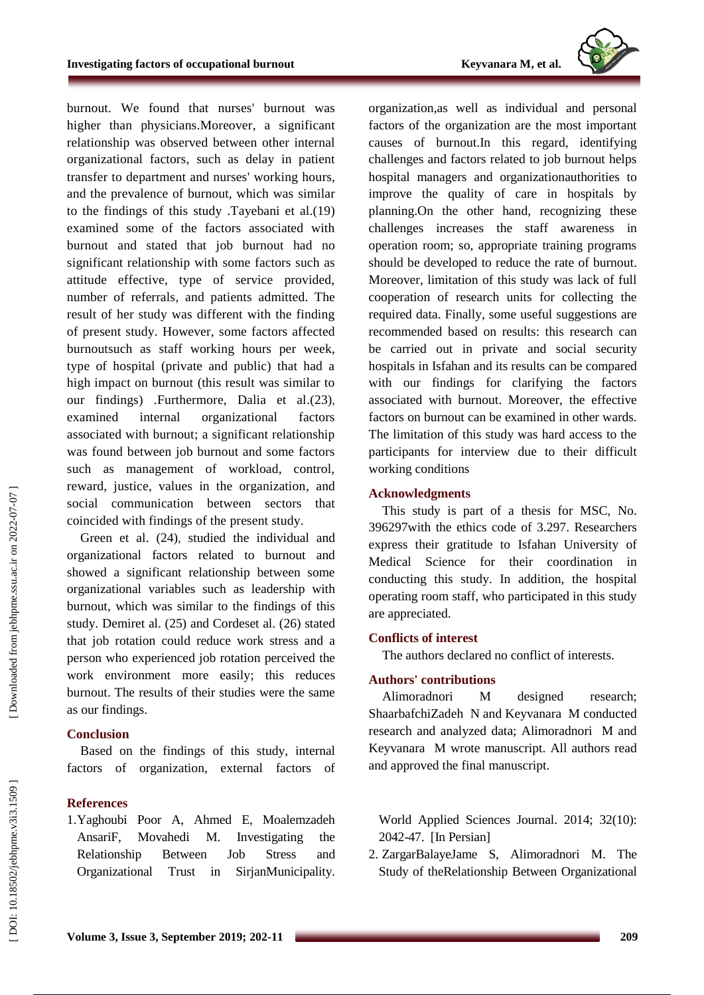

burnout. We found that nurses' burnout was higher than physicians.Moreover, a significant relationship was observed between other internal organizational factors , such as delay in patient transfer to department and nurses' working hours, and the prevalence of burnout, which was similar to the findings of this study .Tayebani et al.(19) examined some of the factors associated with burnout and stated that job burnout had no significant relationship with some factors such as attitude effective, type of service provided, number of referrals , and patients admitted. The result of her study was different with the finding of present study. However, some factors affected burnoutsuch as staff working hours per week, type of hospital (private and public) that had a high impact on burnout (this result was similar to our findings) .Furthermore, Dalia et al.(23), examined internal organizational factors associated with burnout; a significant relationship was found between job burnout and some factors such as management of workload, control, reward, justice, values in the organization , and social communication between sectors that coincided with finding s of the present study .

Green et al . (24 ) , studied the individual and organizational factors related to burnout and showed a significant relationship between some organizational variables such as leadership with burnout, which was similar to the finding s of this study. Demiret al. (25) and Cordeset al. (26) stated that job rotation could reduce work stress and a person who experience d job rotation perceive d the work environment more easily; this reduce s burnout. The results of their studies were the same as our finding s .

# **Conclusion**

Based on the findings of this study, internal factors of organization, external factors of

# **References**

1.Yaghoubi Poor A, Ahmed E, Moalemzadeh AnsariF, Movahedi M. Investigating the Relationship Between Job Stress and Organizational Trust in SirjanMunicipality. organization,as well as individual and personal factors of the organization are the most important causes of burnout.In this regard, identifying challenges and factors related to job burnout helps hospital managers and organizationauthorities to improve the quality of care in hospitals by planning.On the other hand, recognizing these challenges increases the staff awareness in operation room; so, appropriate training programs should be developed to reduce the rate of burnout. Moreover, limitation of this study was lack of full cooperation of research units for collecting the required data. Finally, some useful suggestions are recommended based on results: this research can be carried out in private and social security hospitals in Isfahan and its results can be compare d with our findings for clarifying the factors associated with burnout. Moreover, the effective factors on burnout can be examined in other wards. The limitation of this study was hard access to the participants for interview due to their difficult working conditions

## **Acknowledgments**

This study is part of a thesis for MSC, No. 396297with the ethics code of 3.297. Researchers express their gratitude to Isfahan University of Medical Science for their coordination in conducting this study. In addition, the hospital operating room staff , who participated in this study are appreciated .

# **Conflict s of interest**

The authors declared no conflict of interests.

# **Authors' contributions**

Alimoradnori M designed research; ShaarbafchiZadeh N and Keyvanara M conducted research and analyzed data; Alimoradnori M and Keyvanara M wrote manuscript. All authors read and approved the final manuscript .

World Applied Sciences Journal . 2014; 32(10): 2042 -47. [In Persian]

2 . ZargarBalayeJame S, Alimoradnori M. The Study of theRelationship Between Organizational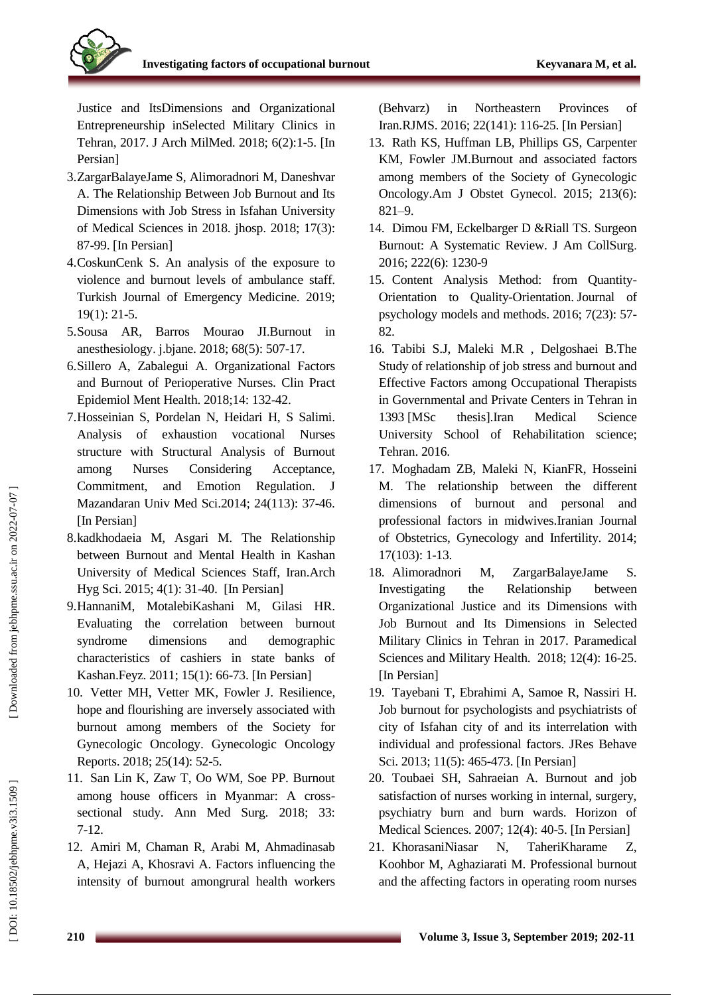

Justice and ItsDimensions and Organizational Entrepreneurship inSelected Military Clinics in Tehran, 2017 . J Arch MilMed. 2018; 6(2):1 - 5. [In Persian]

- 3 .ZargarBalayeJame S, Alimoradnori M, Daneshvar A. The Relationship Between Job Burnout and Its Dimensions with Job Stress in Isfahan University of Medical Sciences in 2018. jhosp. 2018; 17(3) : 87 -99 . [In Persian]
- 4 .CoskunCenk S. An analysis of the exposure to violence and burnout levels of ambulance staff. Turkish Journal of Emergency Medicine. 2019; 19(1): 21 -5.
- 5. Sousa AR. .Sousa AR, Barros Mourao J[I](https://www.sciencedirect.com/science/article/pii/S0104001418300617) [.Burnout in](https://www.sciencedirect.com/science/article/pii/S0104001418300617)  [anesthesiology](https://www.sciencedirect.com/science/article/pii/S0104001418300617) . j.bjane. 2018; 68(5): 507 -17 .
- 6 .Sillero A, Zabalegui A. Organizational Factors and Burnout of Perioperative Nurses. Clin Pract Epidemiol Ment Health. 2018;14: 132 -42 .
- 7 .Hosseinian S, Pordelan N, Heidari H, S Salimi. Analysis of exhaustion vocational Nurses structure with Structural Analysis of Burnout among Nurses Considering Acceptance, Commitment, and Emotion Regulation. J Mazandaran Univ Med Sci .2014; 24(113): 37 -46 . [In Persian]
- 8 .kadkhodaeia M, Asgari M. The Relationship between Burnout and Mental Health in Kashan University of Medical Sciences Staff, Iran .Arch Hyg Sci . 201 5; 4(1): 31 -40. [In Persian]
- 9 .HannaniM, MotalebiKashani M, Gilasi HR. Evaluating the correlation between burnout syndrome dimensions and demographic characteristics of cashiers in state banks of Kashan.Feyz. 2011; 15(1): 66 -73. [In Persian]
- 10 . Vetter MH, Vetter MK, Fowler J. Resilience, hope and flourishing are inversely associated with burnout among members of the Society for Gynecologic Oncology. Gynecologic Oncology Reports. 2018; 25(14): 52-5.
- 11 . San Lin K, Zaw T, Oo WM, Soe PP. Burnout among house officers in Myanmar: A cross sectional study. Ann Med Surg. 2018; 33: 7-12.
- 12 . Amiri M, Chaman R, Arabi M, Ahmadinasab A, Hejazi A, Khosravi A. Factors influencing the intensity of burnout amongrural health workers

(Behvarz) in Northeastern Provinces of Iran.RJMS . 2016; 22(141): 116 -25. [In Persian]

- 13 . Rath KS, Huffman LB, Phillips GS, Carpenter KM, Fowler JM.Burnout and associated factors among members of the Society of Gynecologic Oncology .Am J Obstet Gynecol. 2015; 213(6): 821-9.
- 14. Dimou FM, Eckelbarger D & Riall TS. Surgeon Burnout: A Systematic Review. J Am CollSurg. 2016; 222(6): 1230 - 9
- 15 . Content Analysis Method: from Quantity Orientation to Quality -Orientation . Journal of psychology models and methods . 2016; 7(23): 57 - 82 .
- 16 . Tabibi S.J, Maleki M.R , Delgoshaei B.The Study of relationship of job stress and burnout and Effective Factors among Occupational Therapists in Governmental and Private Centers in Tehran in 1393 [MSc thesis].Iran Medical Science University School of Rehabilitation science; Tehran. 2016 .
- 17 . Moghadam ZB, Maleki N, KianFR, Hosseini M. The relationship between the different dimensions of burnout and personal and professional factors in midwives.Iranian Journal of Obstetrics, Gynecology and Infertility. 2014; 17(103): 1 - 13.
- 18. Alimoradnori M, ZargarBalayeJame S. Investigating the Relationship between Organizational Justice and its Dimensions with Job Burnout and Its Dimensions in Selected Military Clinics in Tehran in 2017. Paramedical Sciences and Military Health. 2018; 12(4): 16 -25. [In Persian]
- 19 . Tayebani T, Ebrahimi A, Samoe R, Nassiri H. Job burnout for psychologists and psychiatrists of city of Isfahan city of and its interrelation with individual and professional factors. JRes Behave Sci. 2013; 11(5): 465-473. [In Persian]
- 20 . Toubaei SH, Sahraeian A. Burnout and job satisfaction of nurses working in internal, surgery, psychiatry burn and burn wards. Horizon of Medical Sciences. 2007; 12(4): 40 - 5. [In Persian]
- 21 . KhorasaniNiasar N, TaheriKharame Z, Koohbor M, Aghaziarati M. Professional burnout and the affecting factors in operating room nurses